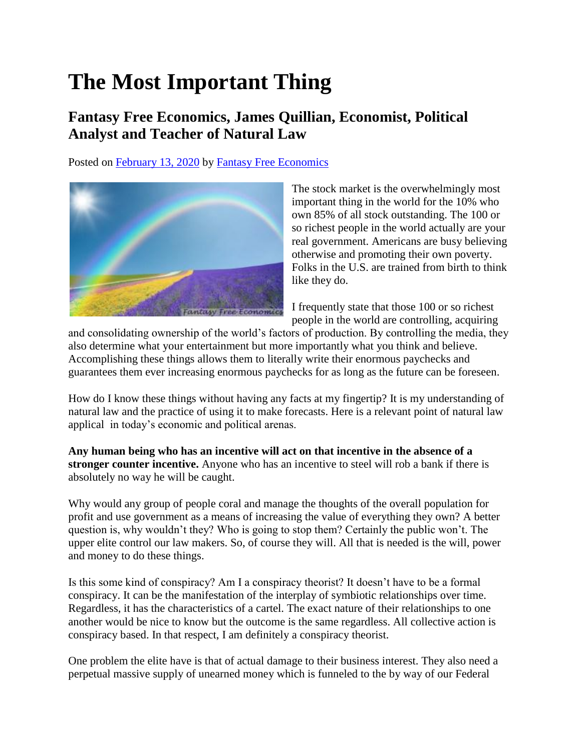## **The Most Important Thing**

## **Fantasy Free Economics, James Quillian, Economist, Political Analyst and Teacher of Natural Law**

Posted on [February 13, 2020](http://quillian.net/blog/?p=6890) by [Fantasy Free Economics](http://quillian.net/blog/author/james-quillian/)



The stock market is the overwhelmingly most important thing in the world for the 10% who own 85% of all stock outstanding. The 100 or so richest people in the world actually are your real government. Americans are busy believing otherwise and promoting their own poverty. Folks in the U.S. are trained from birth to think like they do.

I frequently state that those 100 or so richest people in the world are controlling, acquiring

and consolidating ownership of the world's factors of production. By controlling the media, they also determine what your entertainment but more importantly what you think and believe. Accomplishing these things allows them to literally write their enormous paychecks and guarantees them ever increasing enormous paychecks for as long as the future can be foreseen.

How do I know these things without having any facts at my fingertip? It is my understanding of natural law and the practice of using it to make forecasts. Here is a relevant point of natural law applical in today's economic and political arenas.

**Any human being who has an incentive will act on that incentive in the absence of a stronger counter incentive.** Anyone who has an incentive to steel will rob a bank if there is absolutely no way he will be caught.

Why would any group of people coral and manage the thoughts of the overall population for profit and use government as a means of increasing the value of everything they own? A better question is, why wouldn't they? Who is going to stop them? Certainly the public won't. The upper elite control our law makers. So, of course they will. All that is needed is the will, power and money to do these things.

Is this some kind of conspiracy? Am I a conspiracy theorist? It doesn't have to be a formal conspiracy. It can be the manifestation of the interplay of symbiotic relationships over time. Regardless, it has the characteristics of a cartel. The exact nature of their relationships to one another would be nice to know but the outcome is the same regardless. All collective action is conspiracy based. In that respect, I am definitely a conspiracy theorist.

One problem the elite have is that of actual damage to their business interest. They also need a perpetual massive supply of unearned money which is funneled to the by way of our Federal